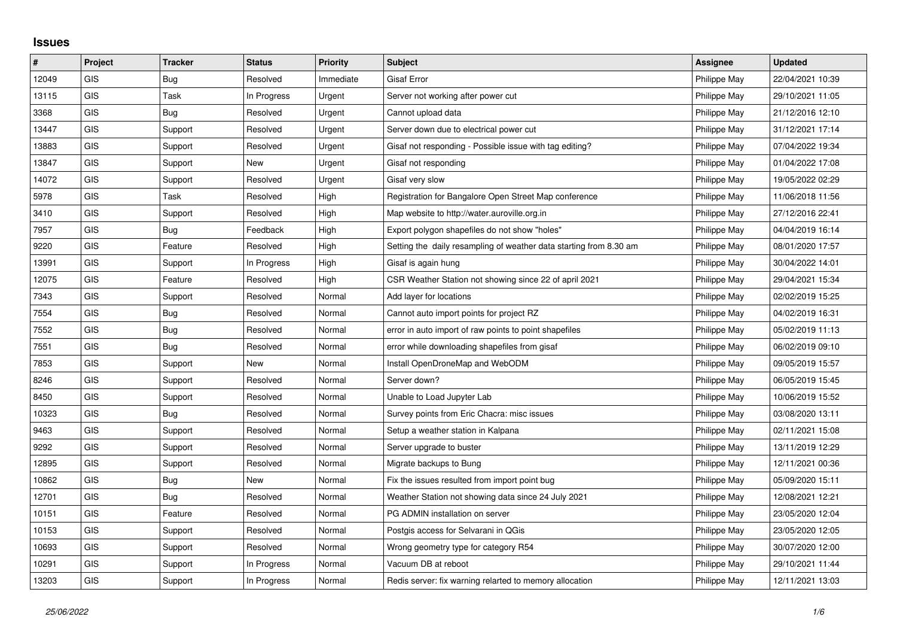## **Issues**

| $\vert$ # | Project    | <b>Tracker</b> | <b>Status</b> | <b>Priority</b> | <b>Subject</b>                                                     | <b>Assignee</b> | <b>Updated</b>   |
|-----------|------------|----------------|---------------|-----------------|--------------------------------------------------------------------|-----------------|------------------|
| 12049     | GIS        | Bug            | Resolved      | Immediate       | <b>Gisaf Error</b>                                                 | Philippe May    | 22/04/2021 10:39 |
| 13115     | GIS        | Task           | In Progress   | Urgent          | Server not working after power cut                                 | Philippe May    | 29/10/2021 11:05 |
| 3368      | <b>GIS</b> | Bug            | Resolved      | Urgent          | Cannot upload data                                                 | Philippe May    | 21/12/2016 12:10 |
| 13447     | <b>GIS</b> | Support        | Resolved      | Urgent          | Server down due to electrical power cut                            | Philippe May    | 31/12/2021 17:14 |
| 13883     | <b>GIS</b> | Support        | Resolved      | Urgent          | Gisaf not responding - Possible issue with tag editing?            | Philippe May    | 07/04/2022 19:34 |
| 13847     | <b>GIS</b> | Support        | <b>New</b>    | Urgent          | Gisaf not responding                                               | Philippe May    | 01/04/2022 17:08 |
| 14072     | <b>GIS</b> | Support        | Resolved      | Urgent          | Gisaf very slow                                                    | Philippe May    | 19/05/2022 02:29 |
| 5978      | <b>GIS</b> | Task           | Resolved      | High            | Registration for Bangalore Open Street Map conference              | Philippe May    | 11/06/2018 11:56 |
| 3410      | GIS        | Support        | Resolved      | High            | Map website to http://water.auroville.org.in                       | Philippe May    | 27/12/2016 22:41 |
| 7957      | GIS        | <b>Bug</b>     | Feedback      | High            | Export polygon shapefiles do not show "holes"                      | Philippe May    | 04/04/2019 16:14 |
| 9220      | <b>GIS</b> | Feature        | Resolved      | High            | Setting the daily resampling of weather data starting from 8.30 am | Philippe May    | 08/01/2020 17:57 |
| 13991     | GIS        | Support        | In Progress   | High            | Gisaf is again hung                                                | Philippe May    | 30/04/2022 14:01 |
| 12075     | <b>GIS</b> | Feature        | Resolved      | High            | CSR Weather Station not showing since 22 of april 2021             | Philippe May    | 29/04/2021 15:34 |
| 7343      | <b>GIS</b> | Support        | Resolved      | Normal          | Add layer for locations                                            | Philippe May    | 02/02/2019 15:25 |
| 7554      | GIS        | Bug            | Resolved      | Normal          | Cannot auto import points for project RZ                           | Philippe May    | 04/02/2019 16:31 |
| 7552      | <b>GIS</b> | <b>Bug</b>     | Resolved      | Normal          | error in auto import of raw points to point shapefiles             | Philippe May    | 05/02/2019 11:13 |
| 7551      | GIS        | Bug            | Resolved      | Normal          | error while downloading shapefiles from gisaf                      | Philippe May    | 06/02/2019 09:10 |
| 7853      | <b>GIS</b> | Support        | <b>New</b>    | Normal          | Install OpenDroneMap and WebODM                                    | Philippe May    | 09/05/2019 15:57 |
| 8246      | GIS        | Support        | Resolved      | Normal          | Server down?                                                       | Philippe May    | 06/05/2019 15:45 |
| 8450      | GIS        | Support        | Resolved      | Normal          | Unable to Load Jupyter Lab                                         | Philippe May    | 10/06/2019 15:52 |
| 10323     | <b>GIS</b> | Bug            | Resolved      | Normal          | Survey points from Eric Chacra: misc issues                        | Philippe May    | 03/08/2020 13:11 |
| 9463      | GIS        | Support        | Resolved      | Normal          | Setup a weather station in Kalpana                                 | Philippe May    | 02/11/2021 15:08 |
| 9292      | <b>GIS</b> | Support        | Resolved      | Normal          | Server upgrade to buster                                           | Philippe May    | 13/11/2019 12:29 |
| 12895     | <b>GIS</b> | Support        | Resolved      | Normal          | Migrate backups to Bung                                            | Philippe May    | 12/11/2021 00:36 |
| 10862     | GIS        | Bug            | New           | Normal          | Fix the issues resulted from import point bug                      | Philippe May    | 05/09/2020 15:11 |
| 12701     | <b>GIS</b> | Bug            | Resolved      | Normal          | Weather Station not showing data since 24 July 2021                | Philippe May    | 12/08/2021 12:21 |
| 10151     | <b>GIS</b> | Feature        | Resolved      | Normal          | PG ADMIN installation on server                                    | Philippe May    | 23/05/2020 12:04 |
| 10153     | <b>GIS</b> | Support        | Resolved      | Normal          | Postgis access for Selvarani in QGis                               | Philippe May    | 23/05/2020 12:05 |
| 10693     | GIS        | Support        | Resolved      | Normal          | Wrong geometry type for category R54                               | Philippe May    | 30/07/2020 12:00 |
| 10291     | <b>GIS</b> | Support        | In Progress   | Normal          | Vacuum DB at reboot                                                | Philippe May    | 29/10/2021 11:44 |
| 13203     | GIS        | Support        | In Progress   | Normal          | Redis server: fix warning relarted to memory allocation            | Philippe May    | 12/11/2021 13:03 |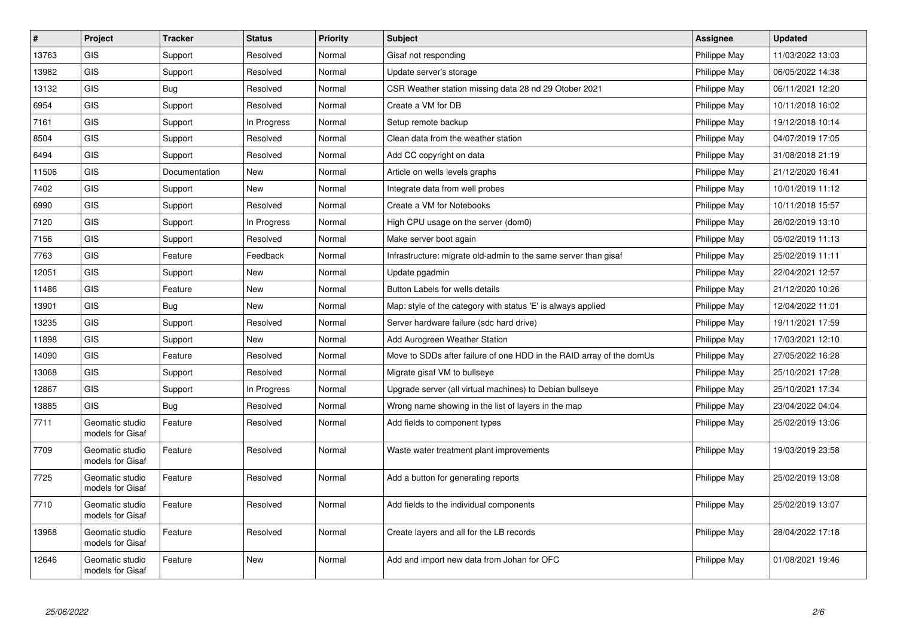| $\vert$ # | Project                             | <b>Tracker</b> | <b>Status</b> | <b>Priority</b> | <b>Subject</b>                                                       | <b>Assignee</b> | <b>Updated</b>   |
|-----------|-------------------------------------|----------------|---------------|-----------------|----------------------------------------------------------------------|-----------------|------------------|
| 13763     | <b>GIS</b>                          | Support        | Resolved      | Normal          | Gisaf not responding                                                 | Philippe May    | 11/03/2022 13:03 |
| 13982     | <b>GIS</b>                          | Support        | Resolved      | Normal          | Update server's storage                                              | Philippe May    | 06/05/2022 14:38 |
| 13132     | <b>GIS</b>                          | Bug            | Resolved      | Normal          | CSR Weather station missing data 28 nd 29 Otober 2021                | Philippe May    | 06/11/2021 12:20 |
| 6954      | <b>GIS</b>                          | Support        | Resolved      | Normal          | Create a VM for DB                                                   | Philippe May    | 10/11/2018 16:02 |
| 7161      | <b>GIS</b>                          | Support        | In Progress   | Normal          | Setup remote backup                                                  | Philippe May    | 19/12/2018 10:14 |
| 8504      | GIS                                 | Support        | Resolved      | Normal          | Clean data from the weather station                                  | Philippe May    | 04/07/2019 17:05 |
| 6494      | <b>GIS</b>                          | Support        | Resolved      | Normal          | Add CC copyright on data                                             | Philippe May    | 31/08/2018 21:19 |
| 11506     | <b>GIS</b>                          | Documentation  | New           | Normal          | Article on wells levels graphs                                       | Philippe May    | 21/12/2020 16:41 |
| 7402      | <b>GIS</b>                          | Support        | New           | Normal          | Integrate data from well probes                                      | Philippe May    | 10/01/2019 11:12 |
| 6990      | <b>GIS</b>                          | Support        | Resolved      | Normal          | Create a VM for Notebooks                                            | Philippe May    | 10/11/2018 15:57 |
| 7120      | <b>GIS</b>                          | Support        | In Progress   | Normal          | High CPU usage on the server (dom0)                                  | Philippe May    | 26/02/2019 13:10 |
| 7156      | <b>GIS</b>                          | Support        | Resolved      | Normal          | Make server boot again                                               | Philippe May    | 05/02/2019 11:13 |
| 7763      | GIS                                 | Feature        | Feedback      | Normal          | Infrastructure: migrate old-admin to the same server than gisaf      | Philippe May    | 25/02/2019 11:11 |
| 12051     | GIS                                 | Support        | New           | Normal          | Update pgadmin                                                       | Philippe May    | 22/04/2021 12:57 |
| 11486     | <b>GIS</b>                          | Feature        | New           | Normal          | Button Labels for wells details                                      | Philippe May    | 21/12/2020 10:26 |
| 13901     | GIS                                 | <b>Bug</b>     | <b>New</b>    | Normal          | Map: style of the category with status 'E' is always applied         | Philippe May    | 12/04/2022 11:01 |
| 13235     | <b>GIS</b>                          | Support        | Resolved      | Normal          | Server hardware failure (sdc hard drive)                             | Philippe May    | 19/11/2021 17:59 |
| 11898     | <b>GIS</b>                          | Support        | New           | Normal          | Add Aurogreen Weather Station                                        | Philippe May    | 17/03/2021 12:10 |
| 14090     | <b>GIS</b>                          | Feature        | Resolved      | Normal          | Move to SDDs after failure of one HDD in the RAID array of the domUs | Philippe May    | 27/05/2022 16:28 |
| 13068     | GIS                                 | Support        | Resolved      | Normal          | Migrate gisaf VM to bullseye                                         | Philippe May    | 25/10/2021 17:28 |
| 12867     | <b>GIS</b>                          | Support        | In Progress   | Normal          | Upgrade server (all virtual machines) to Debian bullseye             | Philippe May    | 25/10/2021 17:34 |
| 13885     | <b>GIS</b>                          | Bug            | Resolved      | Normal          | Wrong name showing in the list of layers in the map                  | Philippe May    | 23/04/2022 04:04 |
| 7711      | Geomatic studio<br>models for Gisaf | Feature        | Resolved      | Normal          | Add fields to component types                                        | Philippe May    | 25/02/2019 13:06 |
| 7709      | Geomatic studio<br>models for Gisaf | Feature        | Resolved      | Normal          | Waste water treatment plant improvements                             | Philippe May    | 19/03/2019 23:58 |
| 7725      | Geomatic studio<br>models for Gisaf | Feature        | Resolved      | Normal          | Add a button for generating reports                                  | Philippe May    | 25/02/2019 13:08 |
| 7710      | Geomatic studio<br>models for Gisaf | Feature        | Resolved      | Normal          | Add fields to the individual components                              | Philippe May    | 25/02/2019 13:07 |
| 13968     | Geomatic studio<br>models for Gisaf | Feature        | Resolved      | Normal          | Create layers and all for the LB records                             | Philippe May    | 28/04/2022 17:18 |
| 12646     | Geomatic studio<br>models for Gisaf | Feature        | <b>New</b>    | Normal          | Add and import new data from Johan for OFC                           | Philippe May    | 01/08/2021 19:46 |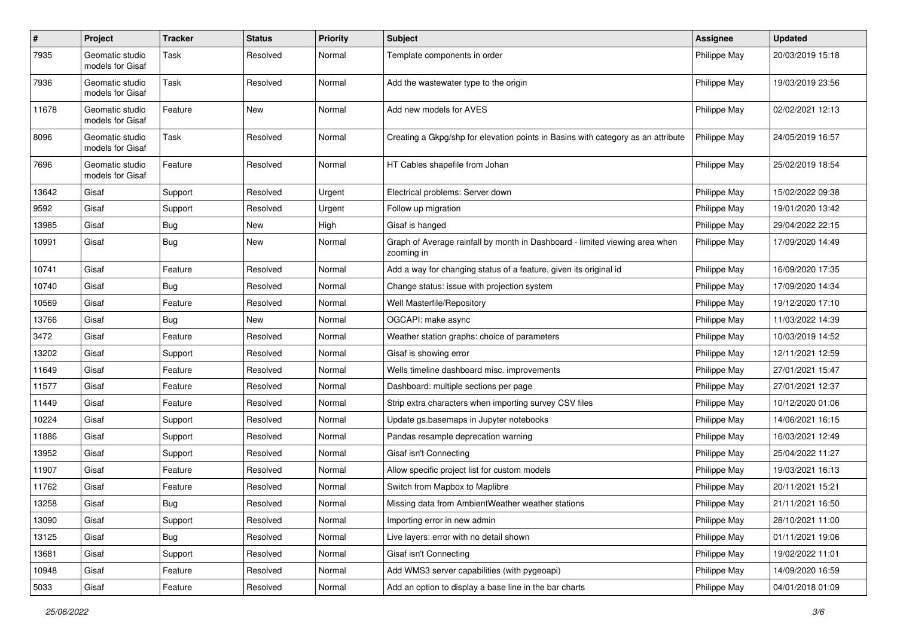| $\sharp$ | <b>Project</b>                      | <b>Tracker</b> | <b>Status</b> | <b>Priority</b> | <b>Subject</b>                                                                            | <b>Assignee</b> | <b>Updated</b>   |
|----------|-------------------------------------|----------------|---------------|-----------------|-------------------------------------------------------------------------------------------|-----------------|------------------|
| 7935     | Geomatic studio<br>models for Gisaf | Task           | Resolved      | Normal          | Template components in order                                                              | Philippe May    | 20/03/2019 15:18 |
| 7936     | Geomatic studio<br>models for Gisaf | Task           | Resolved      | Normal          | Add the wastewater type to the origin                                                     | Philippe May    | 19/03/2019 23:56 |
| 11678    | Geomatic studio<br>models for Gisaf | Feature        | New           | Normal          | Add new models for AVES                                                                   | Philippe May    | 02/02/2021 12:13 |
| 8096     | Geomatic studio<br>models for Gisaf | Task           | Resolved      | Normal          | Creating a Gkpg/shp for elevation points in Basins with category as an attribute          | Philippe May    | 24/05/2019 16:57 |
| 7696     | Geomatic studio<br>models for Gisaf | Feature        | Resolved      | Normal          | HT Cables shapefile from Johan                                                            | Philippe May    | 25/02/2019 18:54 |
| 13642    | Gisaf                               | Support        | Resolved      | Urgent          | Electrical problems: Server down                                                          | Philippe May    | 15/02/2022 09:38 |
| 9592     | Gisaf                               | Support        | Resolved      | Urgent          | Follow up migration                                                                       | Philippe May    | 19/01/2020 13:42 |
| 13985    | Gisaf                               | <b>Bug</b>     | New           | High            | Gisaf is hanged                                                                           | Philippe May    | 29/04/2022 22:15 |
| 10991    | Gisaf                               | Bug            | <b>New</b>    | Normal          | Graph of Average rainfall by month in Dashboard - limited viewing area when<br>zooming in | Philippe May    | 17/09/2020 14:49 |
| 10741    | Gisaf                               | Feature        | Resolved      | Normal          | Add a way for changing status of a feature, given its original id                         | Philippe May    | 16/09/2020 17:35 |
| 10740    | Gisaf                               | <b>Bug</b>     | Resolved      | Normal          | Change status: issue with projection system                                               | Philippe May    | 17/09/2020 14:34 |
| 10569    | Gisaf                               | Feature        | Resolved      | Normal          | Well Masterfile/Repository                                                                | Philippe May    | 19/12/2020 17:10 |
| 13766    | Gisaf                               | <b>Bug</b>     | New           | Normal          | OGCAPI: make async                                                                        | Philippe May    | 11/03/2022 14:39 |
| 3472     | Gisaf                               | Feature        | Resolved      | Normal          | Weather station graphs: choice of parameters                                              | Philippe May    | 10/03/2019 14:52 |
| 13202    | Gisaf                               | Support        | Resolved      | Normal          | Gisaf is showing error                                                                    | Philippe May    | 12/11/2021 12:59 |
| 11649    | Gisaf                               | Feature        | Resolved      | Normal          | Wells timeline dashboard misc. improvements                                               | Philippe May    | 27/01/2021 15:47 |
| 11577    | Gisaf                               | Feature        | Resolved      | Normal          | Dashboard: multiple sections per page                                                     | Philippe May    | 27/01/2021 12:37 |
| 11449    | Gisaf                               | Feature        | Resolved      | Normal          | Strip extra characters when importing survey CSV files                                    | Philippe May    | 10/12/2020 01:06 |
| 10224    | Gisaf                               | Support        | Resolved      | Normal          | Update gs.basemaps in Jupyter notebooks                                                   | Philippe May    | 14/06/2021 16:15 |
| 11886    | Gisaf                               | Support        | Resolved      | Normal          | Pandas resample deprecation warning                                                       | Philippe May    | 16/03/2021 12:49 |
| 13952    | Gisaf                               | Support        | Resolved      | Normal          | Gisaf isn't Connecting                                                                    | Philippe May    | 25/04/2022 11:27 |
| 11907    | Gisaf                               | Feature        | Resolved      | Normal          | Allow specific project list for custom models                                             | Philippe May    | 19/03/2021 16:13 |
| 11762    | Gisaf                               | Feature        | Resolved      | Normal          | Switch from Mapbox to Maplibre                                                            | Philippe May    | 20/11/2021 15:21 |
| 13258    | Gisaf                               | Bug            | Resolved      | Normal          | Missing data from AmbientWeather weather stations                                         | Philippe May    | 21/11/2021 16:50 |
| 13090    | Gisaf                               | Support        | Resolved      | Normal          | Importing error in new admin                                                              | Philippe May    | 28/10/2021 11:00 |
| 13125    | Gisaf                               | Bug            | Resolved      | Normal          | Live layers: error with no detail shown                                                   | Philippe May    | 01/11/2021 19:06 |
| 13681    | Gisaf                               | Support        | Resolved      | Normal          | Gisaf isn't Connecting                                                                    | Philippe May    | 19/02/2022 11:01 |
| 10948    | Gisaf                               | Feature        | Resolved      | Normal          | Add WMS3 server capabilities (with pygeoapi)                                              | Philippe May    | 14/09/2020 16:59 |
| 5033     | Gisaf                               | Feature        | Resolved      | Normal          | Add an option to display a base line in the bar charts                                    | Philippe May    | 04/01/2018 01:09 |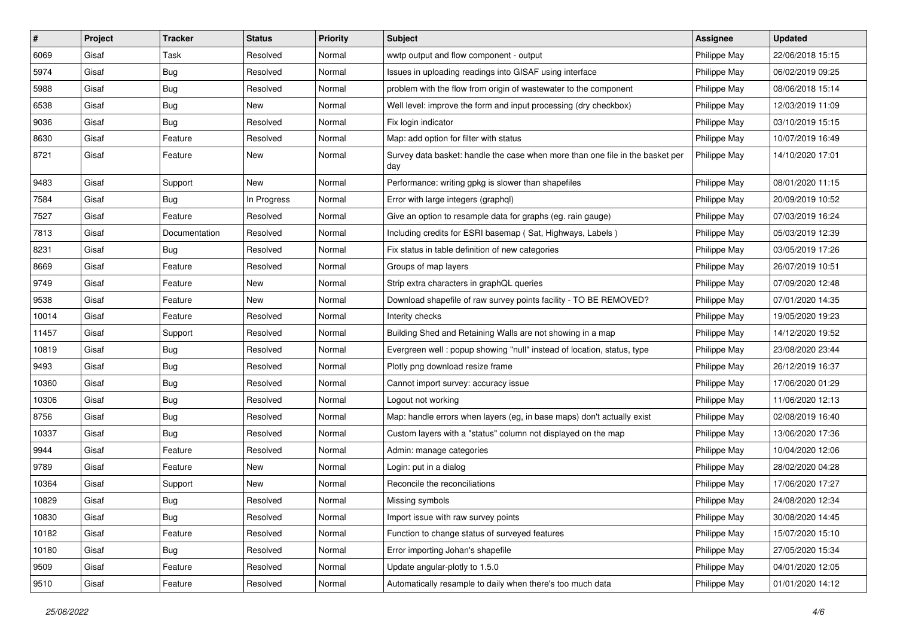| #     | Project | <b>Tracker</b> | <b>Status</b> | <b>Priority</b> | <b>Subject</b>                                                                       | <b>Assignee</b> | <b>Updated</b>   |
|-------|---------|----------------|---------------|-----------------|--------------------------------------------------------------------------------------|-----------------|------------------|
| 6069  | Gisaf   | Task           | Resolved      | Normal          | wwtp output and flow component - output                                              | Philippe May    | 22/06/2018 15:15 |
| 5974  | Gisaf   | Bug            | Resolved      | Normal          | Issues in uploading readings into GISAF using interface                              | Philippe May    | 06/02/2019 09:25 |
| 5988  | Gisaf   | Bug            | Resolved      | Normal          | problem with the flow from origin of wastewater to the component                     | Philippe May    | 08/06/2018 15:14 |
| 6538  | Gisaf   | <b>Bug</b>     | New           | Normal          | Well level: improve the form and input processing (dry checkbox)                     | Philippe May    | 12/03/2019 11:09 |
| 9036  | Gisaf   | Bug            | Resolved      | Normal          | Fix login indicator                                                                  | Philippe May    | 03/10/2019 15:15 |
| 8630  | Gisaf   | Feature        | Resolved      | Normal          | Map: add option for filter with status                                               | Philippe May    | 10/07/2019 16:49 |
| 8721  | Gisaf   | Feature        | New           | Normal          | Survey data basket: handle the case when more than one file in the basket per<br>day | Philippe May    | 14/10/2020 17:01 |
| 9483  | Gisaf   | Support        | New           | Normal          | Performance: writing gpkg is slower than shapefiles                                  | Philippe May    | 08/01/2020 11:15 |
| 7584  | Gisaf   | <b>Bug</b>     | In Progress   | Normal          | Error with large integers (graphql)                                                  | Philippe May    | 20/09/2019 10:52 |
| 7527  | Gisaf   | Feature        | Resolved      | Normal          | Give an option to resample data for graphs (eg. rain gauge)                          | Philippe May    | 07/03/2019 16:24 |
| 7813  | Gisaf   | Documentation  | Resolved      | Normal          | Including credits for ESRI basemap (Sat, Highways, Labels)                           | Philippe May    | 05/03/2019 12:39 |
| 8231  | Gisaf   | Bug            | Resolved      | Normal          | Fix status in table definition of new categories                                     | Philippe May    | 03/05/2019 17:26 |
| 8669  | Gisaf   | Feature        | Resolved      | Normal          | Groups of map layers                                                                 | Philippe May    | 26/07/2019 10:51 |
| 9749  | Gisaf   | Feature        | <b>New</b>    | Normal          | Strip extra characters in graphQL queries                                            | Philippe May    | 07/09/2020 12:48 |
| 9538  | Gisaf   | Feature        | New           | Normal          | Download shapefile of raw survey points facility - TO BE REMOVED?                    | Philippe May    | 07/01/2020 14:35 |
| 10014 | Gisaf   | Feature        | Resolved      | Normal          | Interity checks                                                                      | Philippe May    | 19/05/2020 19:23 |
| 11457 | Gisaf   | Support        | Resolved      | Normal          | Building Shed and Retaining Walls are not showing in a map                           | Philippe May    | 14/12/2020 19:52 |
| 10819 | Gisaf   | Bug            | Resolved      | Normal          | Evergreen well: popup showing "null" instead of location, status, type               | Philippe May    | 23/08/2020 23:44 |
| 9493  | Gisaf   | <b>Bug</b>     | Resolved      | Normal          | Plotly png download resize frame                                                     | Philippe May    | 26/12/2019 16:37 |
| 10360 | Gisaf   | <b>Bug</b>     | Resolved      | Normal          | Cannot import survey: accuracy issue                                                 | Philippe May    | 17/06/2020 01:29 |
| 10306 | Gisaf   | <b>Bug</b>     | Resolved      | Normal          | Logout not working                                                                   | Philippe May    | 11/06/2020 12:13 |
| 8756  | Gisaf   | Bug            | Resolved      | Normal          | Map: handle errors when layers (eg, in base maps) don't actually exist               | Philippe May    | 02/08/2019 16:40 |
| 10337 | Gisaf   | <b>Bug</b>     | Resolved      | Normal          | Custom layers with a "status" column not displayed on the map                        | Philippe May    | 13/06/2020 17:36 |
| 9944  | Gisaf   | Feature        | Resolved      | Normal          | Admin: manage categories                                                             | Philippe May    | 10/04/2020 12:06 |
| 9789  | Gisaf   | Feature        | New           | Normal          | Login: put in a dialog                                                               | Philippe May    | 28/02/2020 04:28 |
| 10364 | Gisaf   | Support        | New           | Normal          | Reconcile the reconciliations                                                        | Philippe May    | 17/06/2020 17:27 |
| 10829 | Gisaf   | <b>Bug</b>     | Resolved      | Normal          | Missing symbols                                                                      | Philippe May    | 24/08/2020 12:34 |
| 10830 | Gisaf   | Bug            | Resolved      | Normal          | Import issue with raw survey points                                                  | Philippe May    | 30/08/2020 14:45 |
| 10182 | Gisaf   | Feature        | Resolved      | Normal          | Function to change status of surveyed features                                       | Philippe May    | 15/07/2020 15:10 |
| 10180 | Gisaf   | <b>Bug</b>     | Resolved      | Normal          | Error importing Johan's shapefile                                                    | Philippe May    | 27/05/2020 15:34 |
| 9509  | Gisaf   | Feature        | Resolved      | Normal          | Update angular-plotly to 1.5.0                                                       | Philippe May    | 04/01/2020 12:05 |
| 9510  | Gisaf   | Feature        | Resolved      | Normal          | Automatically resample to daily when there's too much data                           | Philippe May    | 01/01/2020 14:12 |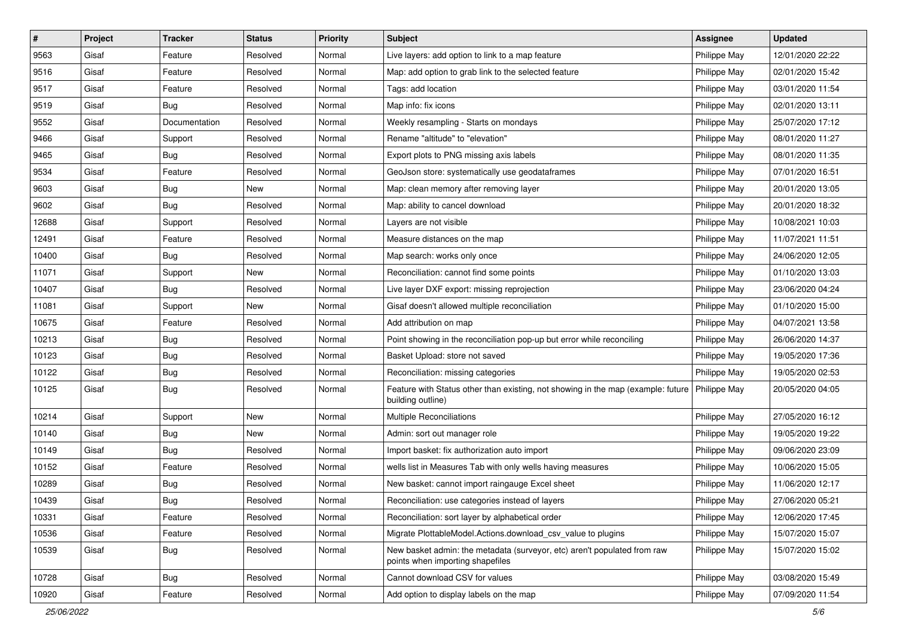| #     | Project | <b>Tracker</b> | <b>Status</b> | <b>Priority</b> | <b>Subject</b>                                                                                               | <b>Assignee</b> | <b>Updated</b>   |
|-------|---------|----------------|---------------|-----------------|--------------------------------------------------------------------------------------------------------------|-----------------|------------------|
| 9563  | Gisaf   | Feature        | Resolved      | Normal          | Live layers: add option to link to a map feature                                                             | Philippe May    | 12/01/2020 22:22 |
| 9516  | Gisaf   | Feature        | Resolved      | Normal          | Map: add option to grab link to the selected feature                                                         | Philippe May    | 02/01/2020 15:42 |
| 9517  | Gisaf   | Feature        | Resolved      | Normal          | Tags: add location                                                                                           | Philippe May    | 03/01/2020 11:54 |
| 9519  | Gisaf   | <b>Bug</b>     | Resolved      | Normal          | Map info: fix icons                                                                                          | Philippe May    | 02/01/2020 13:11 |
| 9552  | Gisaf   | Documentation  | Resolved      | Normal          | Weekly resampling - Starts on mondays                                                                        | Philippe May    | 25/07/2020 17:12 |
| 9466  | Gisaf   | Support        | Resolved      | Normal          | Rename "altitude" to "elevation"                                                                             | Philippe May    | 08/01/2020 11:27 |
| 9465  | Gisaf   | <b>Bug</b>     | Resolved      | Normal          | Export plots to PNG missing axis labels                                                                      | Philippe May    | 08/01/2020 11:35 |
| 9534  | Gisaf   | Feature        | Resolved      | Normal          | GeoJson store: systematically use geodataframes                                                              | Philippe May    | 07/01/2020 16:51 |
| 9603  | Gisaf   | <b>Bug</b>     | New           | Normal          | Map: clean memory after removing layer                                                                       | Philippe May    | 20/01/2020 13:05 |
| 9602  | Gisaf   | Bug            | Resolved      | Normal          | Map: ability to cancel download                                                                              | Philippe May    | 20/01/2020 18:32 |
| 12688 | Gisaf   | Support        | Resolved      | Normal          | Layers are not visible                                                                                       | Philippe May    | 10/08/2021 10:03 |
| 12491 | Gisaf   | Feature        | Resolved      | Normal          | Measure distances on the map                                                                                 | Philippe May    | 11/07/2021 11:51 |
| 10400 | Gisaf   | Bug            | Resolved      | Normal          | Map search: works only once                                                                                  | Philippe May    | 24/06/2020 12:05 |
| 11071 | Gisaf   | Support        | New           | Normal          | Reconciliation: cannot find some points                                                                      | Philippe May    | 01/10/2020 13:03 |
| 10407 | Gisaf   | Bug            | Resolved      | Normal          | Live layer DXF export: missing reprojection                                                                  | Philippe May    | 23/06/2020 04:24 |
| 11081 | Gisaf   | Support        | New           | Normal          | Gisaf doesn't allowed multiple reconciliation                                                                | Philippe May    | 01/10/2020 15:00 |
| 10675 | Gisaf   | Feature        | Resolved      | Normal          | Add attribution on map                                                                                       | Philippe May    | 04/07/2021 13:58 |
| 10213 | Gisaf   | Bug            | Resolved      | Normal          | Point showing in the reconciliation pop-up but error while reconciling                                       | Philippe May    | 26/06/2020 14:37 |
| 10123 | Gisaf   | <b>Bug</b>     | Resolved      | Normal          | Basket Upload: store not saved                                                                               | Philippe May    | 19/05/2020 17:36 |
| 10122 | Gisaf   | <b>Bug</b>     | Resolved      | Normal          | Reconciliation: missing categories                                                                           | Philippe May    | 19/05/2020 02:53 |
| 10125 | Gisaf   | Bug            | Resolved      | Normal          | Feature with Status other than existing, not showing in the map (example: future<br>building outline)        | Philippe May    | 20/05/2020 04:05 |
| 10214 | Gisaf   | Support        | <b>New</b>    | Normal          | Multiple Reconciliations                                                                                     | Philippe May    | 27/05/2020 16:12 |
| 10140 | Gisaf   | <b>Bug</b>     | New           | Normal          | Admin: sort out manager role                                                                                 | Philippe May    | 19/05/2020 19:22 |
| 10149 | Gisaf   | <b>Bug</b>     | Resolved      | Normal          | Import basket: fix authorization auto import                                                                 | Philippe May    | 09/06/2020 23:09 |
| 10152 | Gisaf   | Feature        | Resolved      | Normal          | wells list in Measures Tab with only wells having measures                                                   | Philippe May    | 10/06/2020 15:05 |
| 10289 | Gisaf   | <b>Bug</b>     | Resolved      | Normal          | New basket: cannot import raingauge Excel sheet                                                              | Philippe May    | 11/06/2020 12:17 |
| 10439 | Gisaf   | Bug            | Resolved      | Normal          | Reconciliation: use categories instead of layers                                                             | Philippe May    | 27/06/2020 05:21 |
| 10331 | Gisaf   | Feature        | Resolved      | Normal          | Reconciliation: sort layer by alphabetical order                                                             | Philippe May    | 12/06/2020 17:45 |
| 10536 | Gisaf   | Feature        | Resolved      | Normal          | Migrate PlottableModel.Actions.download_csv_value to plugins                                                 | Philippe May    | 15/07/2020 15:07 |
| 10539 | Gisaf   | <b>Bug</b>     | Resolved      | Normal          | New basket admin: the metadata (surveyor, etc) aren't populated from raw<br>points when importing shapefiles | Philippe May    | 15/07/2020 15:02 |
| 10728 | Gisaf   | <b>Bug</b>     | Resolved      | Normal          | Cannot download CSV for values                                                                               | Philippe May    | 03/08/2020 15:49 |
| 10920 | Gisaf   | Feature        | Resolved      | Normal          | Add option to display labels on the map                                                                      | Philippe May    | 07/09/2020 11:54 |